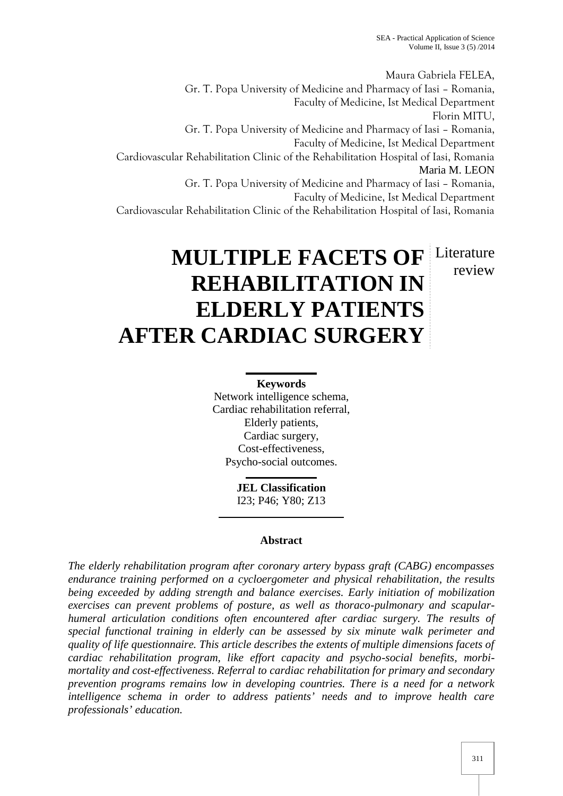Maura Gabriela FELEA, Gr. T. Popa University of Medicine and Pharmacy of Iasi – Romania, Faculty of Medicine, Ist Medical Department Florin MITU, Gr. T. Popa University of Medicine and Pharmacy of Iasi – Romania, Faculty of Medicine, Ist Medical Department Cardiovascular Rehabilitation Clinic of the Rehabilitation Hospital of Iasi, Romania Maria M. LEON Gr. T. Popa University of Medicine and Pharmacy of Iasi – Romania, Faculty of Medicine, Ist Medical Department Cardiovascular Rehabilitation Clinic of the Rehabilitation Hospital of Iasi, Romania

review

# **MULTIPLE FACETS OF** Literature **REHABILITATION IN ELDERLY PATIENTS AFTER CARDIAC SURGERY**

# **Keywords**

Network intelligence schema, Cardiac rehabilitation referral, Elderly patients, Cardiac surgery, Cost-effectiveness, Psycho-social outcomes.

> **JEL Classification** I23; P46; Y80; Z13

# **Abstract**

*The elderly rehabilitation program after coronary artery bypass graft (CABG) encompasses endurance training performed on a cycloergometer and physical rehabilitation, the results being exceeded by adding strength and balance exercises. Early initiation of mobilization exercises can prevent problems of posture, as well as thoraco-pulmonary and scapular humeral articulation conditions often encountered after cardiac surgery. The results of special functional training in elderly can be assessed by six minute walk perimeter and quality of life questionnaire. This article describes the extents of multiple dimensions facets of cardiac rehabilitation program, like effort capacity and psycho-social benefits, morbi mortality and cost-effectiveness. Referral to cardiac rehabilitation for primary and secondary prevention programs remains low in developing countries. There is a need for a network intelligence schema in order to address patients' needs and to improve health care professionals' education.*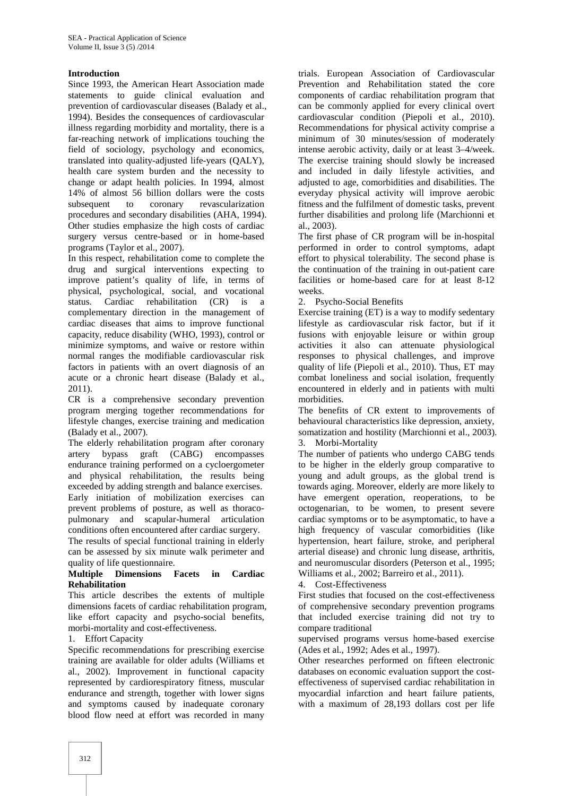### **Introduction**

Since 1993, the American Heart Association made statements to guide clinical evaluation and prevention of cardiovascular diseases (Balady et al., 1994). Besides the consequences of cardiovascular illness regarding morbidity and mortality, there is a far-reaching network of implications touching the field of sociology, psychology and economics, translated into quality-adjusted life-years (QALY), health care system burden and the necessity to change or adapt health policies. In 1994, almost 14% of almost 56 billion dollars were the costs subsequent to coronary revascularization procedures and secondary disabilities (AHA, 1994). Other studies emphasize the high costs of cardiac surgery versus centre-based or in home-based programs (Taylor et al., 2007).

In this respect, rehabilitation come to complete the drug and surgical interventions expecting to improve patient's quality of life, in terms of physical, psychological, social, and vocational status. Cardiac rehabilitation (CR) is a complementary direction in the management of cardiac diseases that aims to improve functional capacity, reduce disability (WHO, 1993), control or minimize symptoms, and waive or restore within normal ranges the modifiable cardiovascular risk factors in patients with an overt diagnosis of an acute or a chronic heart disease (Balady et al., 2011).

CR is a comprehensive secondary prevention program merging together recommendations for lifestyle changes, exercise training and medication (Balady et al., 2007).

The elderly rehabilitation program after coronary 3. artery bypass graft (CABG) encompasses endurance training performed on a cycloergometer and physical rehabilitation, the results being exceeded by adding strength and balance exercises. Early initiation of mobilization exercises can prevent problems of posture, as well as thoraco pulmonary and scapular-humeral articulation conditions often encountered after cardiac surgery.

The results of special functional training in elderly can be assessed by six minute walk perimeter and quality of life questionnaire.

#### **Multiple Dimensions Facets in Cardiac Rehabilitation**

This article describes the extents of multiple dimensions facets of cardiac rehabilitation program, like effort capacity and psycho-social benefits, morbi-mortality and cost-effectiveness.

1. Effort Capacity

Specific recommendations for prescribing exercise training are available for older adults (Williams et al., 2002). Improvement in functional capacity represented by cardiorespiratory fitness, muscular endurance and strength, together with lower signs and symptoms caused by inadequate coronary blood flow need at effort was recorded in many

trials. European Association of Cardiovascular Prevention and Rehabilitation stated the core components of cardiac rehabilitation program that can be commonly applied for every clinical overt cardiovascular condition (Piepoli et al., 2010). Recommendations for physical activity comprise a minimum of 30 minutes/session of moderately intense aerobic activity, daily or at least 3–4/week. The exercise training should slowly be increased and included in daily lifestyle activities, and adjusted to age, comorbidities and disabilities. The everyday physical activity will improve aerobic fitness and the fulfilment of domestic tasks, prevent further disabilities and prolong life (Marchionni et al., 2003).

The first phase of CR program will be in-hospital performed in order to control symptoms, adapt effort to physical tolerability. The second phase is the continuation of the training in out-patient care facilities or home-based care for at least 8-12 weeks.

2. Psycho-Social Benefits

Exercise training (ET) is a way to modify sedentary lifestyle as cardiovascular risk factor, but if it fusions with enjoyable leisure or within group activities it also can attenuate physiological responses to physical challenges, and improve quality of life (Piepoli et al., 2010). Thus, ET may combat loneliness and social isolation, frequently encountered in elderly and in patients with multi morbidities.

The benefits of CR extent to improvements of behavioural characteristics like depression, anxiety, somatization and hostility (Marchionni et al., 2003). Morbi-Mortality

The number of patients who undergo CABG tends to be higher in the elderly group comparative to young and adult groups, as the global trend is towards aging. Moreover, elderly are more likely to have emergent operation, reoperations, to be octogenarian, to be women, to present severe cardiac symptoms or to be asymptomatic, to have a high frequency of vascular comorbidities (like hypertension, heart failure, stroke, and peripheral arterial disease) and chronic lung disease, arthritis, and neuromuscular disorders (Peterson et al., 1995; Williams et al., 2002; Barreiro et al., 2011).

4. Cost-Effectiveness

First studies that focused on the cost-effectiveness of comprehensive secondary prevention programs that included exercise training did not try to compare traditional

supervised programs versus home-based exercise (Ades et al., 1992; Ades et al., 1997).

Other researches performed on fifteen electronic databases on economic evaluation support the cost effectiveness of supervised cardiac rehabilitation in myocardial infarction and heart failure patients, with a maximum of 28,193 dollars cost per life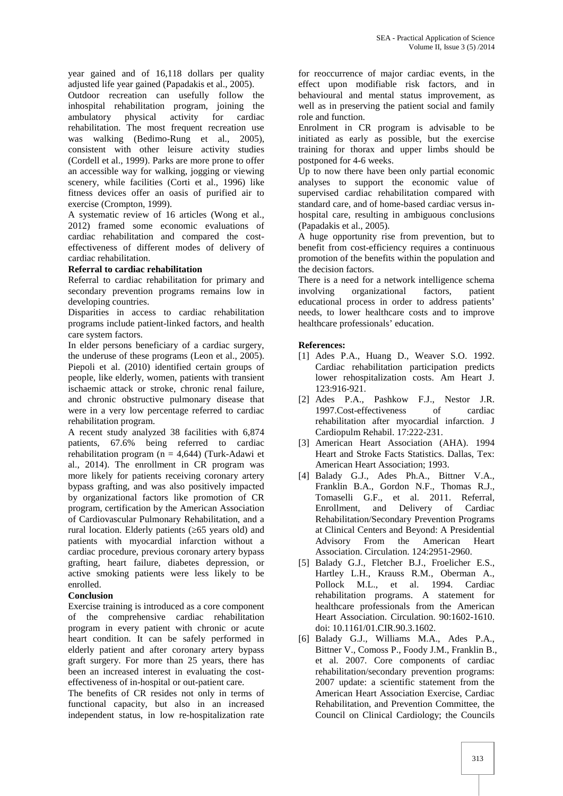year gained and of 16,118 dollars per quality adjusted life year gained (Papadakis et al., 2005).

Outdoor recreation can usefully follow the inhospital rehabilitation program, joining the ambulatory physical activity for cardiac rehabilitation. The most frequent recreation use was walking (Bedimo-Rung et al., 2005), consistent with other leisure activity studies (Cordell et al., 1999). Parks are more prone to offer an accessible way for walking, jogging or viewing scenery, while facilities (Corti et al., 1996) like fitness devices offer an oasis of purified air to exercise (Crompton, 1999).

A systematic review of 16 articles (Wong et al., 2012) framed some economic evaluations of cardiac rehabilitation and compared the cost effectiveness of different modes of delivery of cardiac rehabilitation.

## **Referral to cardiac rehabilitation**

Referral to cardiac rehabilitation for primary and secondary prevention programs remains low in involving developing countries.

Disparities in access to cardiac rehabilitation programs include patient-linked factors, and health care system factors.

In elder persons beneficiary of a cardiac surgery, the underuse of these programs (Leon et al., 2005). Piepoli et al. (2010) identified certain groups of people, like elderly, women, patients with transient ischaemic attack or stroke, chronic renal failure, and chronic obstructive pulmonary disease that were in a very low percentage referred to cardiac rehabilitation program.

A recent study analyzed 38 facilities with 6,874 patients, 67.6% being referred to cardiac rehabilitation program ( $n = 4.644$ ) (Turk-Adawi et al., 2014). The enrollment in CR program was more likely for patients receiving coronary artery bypass grafting, and was also positively impacted by organizational factors like promotion of CR program, certification by the American Association of Cardiovascular Pulmonary Rehabilitation, and a rural location. Elderly patients ( $65$  years old) and patients with myocardial infarction without a cardiac procedure, previous coronary artery bypass grafting, heart failure, diabetes depression, or active smoking patients were less likely to be enrolled.

# **Conclusion**

Exercise training is introduced as a core component of the comprehensive cardiac rehabilitation program in every patient with chronic or acute heart condition. It can be safely performed in elderly patient and after coronary artery bypass graft surgery. For more than 25 years, there has been an increased interest in evaluating the cost effectiveness of in-hospital or out-patient care.

The benefits of CR resides not only in terms of functional capacity, but also in an increased independent status, in low re-hospitalization rate

for reoccurrence of major cardiac events, in the effect upon modifiable risk factors, and in behavioural and mental status improvement, as well as in preserving the patient social and family role and function.

Enrolment in CR program is advisable to be initiated as early as possible, but the exercise training for thorax and upper limbs should be postponed for 4-6 weeks.

Up to now there have been only partial economic analyses to support the economic value of supervised cardiac rehabilitation compared with standard care, and of home-based cardiac versus in hospital care, resulting in ambiguous conclusions (Papadakis et al., 2005).

A huge opportunity rise from prevention, but to benefit from cost-efficiency requires a continuous promotion of the benefits within the population and the decision factors.

There is a need for a network intelligence schema organizational factors, patient educational process in order to address patients' needs, to lower healthcare costs and to improve healthcare professionals' education.

## **References:**

- [1] Ades P.A., Huang D., Weaver S.O. 1992. Cardiac rehabilitation participation predicts lower rehospitalization costs. Am Heart J. 123:916-921.
- [2] Ades P.A., Pashkow F.J., Nestor J.R. 1997.Cost-effectiveness of cardiac rehabilitation after myocardial infarction. J Cardiopulm Rehabil. 17:222-231.
- [3] American Heart Association (AHA). 1994 Heart and Stroke Facts Statistics. Dallas, Tex: American Heart Association; 1993.
- [4] Balady G.J., Ades Ph.A., Bittner V.A., Franklin B.A., Gordon N.F., Thomas R.J., Tomaselli G.F., et al. 2011. Referral, Enrollment, and Delivery of Cardiac Rehabilitation/Secondary Prevention Programs at Clinical Centers and Beyond: A Presidential Advisory From the American Heart Association. Circulation. 124:2951-2960.
- [5] Balady G.J., Fletcher B.J., Froelicher E.S., Hartley L.H., Krauss R.M., Oberman A., Pollock M.L., et al. 1994. Cardiac rehabilitation programs. A statement for healthcare professionals from the American Heart Association. Circulation. 90:1602-1610. doi: 10.1161/01.CIR.90.3.1602.
- [6] Balady G.J., Williams M.A., Ades P.A., Bittner V., Comoss P., Foody J.M., Franklin B., et al. 2007. Core components of cardiac rehabilitation/secondary prevention programs: 2007 update: a scientific statement from the American Heart Association Exercise, Cardiac Rehabilitation, and Prevention Committee, the Council on Clinical Cardiology; the Councils